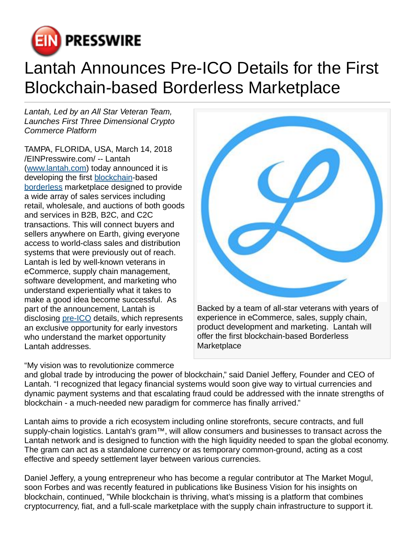

## Lantah Announces Pre-ICO Details for the First Blockchain-based Borderless Marketplace

Lantah, Led by an All Star Veteran Team, Launches First Three Dimensional Crypto Commerce Platform

TAMPA, FLORIDA, USA, March 14, 2018 [/EINPresswire.com](http://www.einpresswire.com)/ -- Lantah ([www.lantah.com](http://www.lantah.com)) today announced it is developing the first [blockchain-](http://www.lantah.com)based [borderless](http://www.lantah.com/market) marketplace designed to provide a wide array of sales services including retail, wholesale, and auctions of both goods and services in B2B, B2C, and C2C transactions. This will connect buyers and sellers anywhere on Earth, giving everyone access to world-class sales and distribution systems that were previously out of reach. Lantah is led by well-known veterans in eCommerce, supply chain management, software development, and marketing who understand experientially what it takes to make a good idea become successful. As part of the announcement, Lantah is disclosing [pre-ICO](http://www.lantah.com) details, which represents an exclusive opportunity for early investors who understand the market opportunity Lantah addresses.

"My vision was to revolutionize commerce



experience in eCommerce, sales, supply chain, product development and marketing. Lantah will offer the first blockchain-based Borderless **Marketplace** 

and global trade by introducing the power of blockchain," said Daniel Jeffery, Founder and CEO of Lantah. "I recognized that legacy financial systems would soon give way to virtual currencies and dynamic payment systems and that escalating fraud could be addressed with the innate strengths of blockchain - a much-needed new paradigm for commerce has finally arrived."

Lantah aims to provide a rich ecosystem including online storefronts, secure contracts, and full supply-chain logistics. Lantah's gram™, will allow consumers and businesses to transact across the Lantah network and is designed to function with the high liquidity needed to span the global economy. The gram can act as a standalone currency or as temporary common-ground, acting as a cost effective and speedy settlement layer between various currencies.

Daniel Jeffery, a young entrepreneur who has become a regular contributor at The Market Mogul, soon Forbes and was recently featured in publications like Business Vision for his insights on blockchain, continued, "While blockchain is thriving, what's missing is a platform that combines cryptocurrency, fiat, and a full-scale marketplace with the supply chain infrastructure to support it.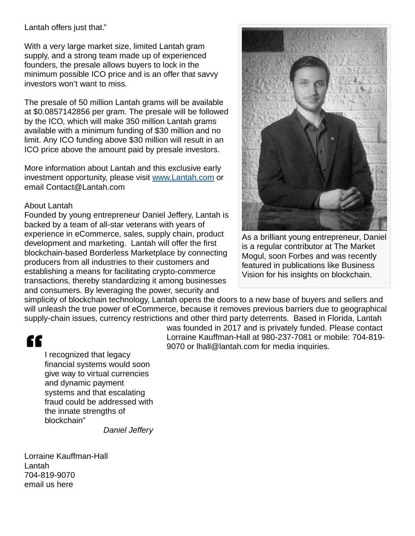Lantah offers just that."

With a very large market size, limited Lantah gram supply, and a strong team made up of experienced founders, the presale allows buyers to lock in the minimum possible ICO price and is an offer that savvy investors won't want to miss.

The presale of 50 million Lantah grams will be available at \$0.0857142856 per gram. The presale will be followed by the ICO, which will make 350 million Lantah grams available with a minimum funding of \$30 million and no limit. Any ICO funding above \$30 million will result in an ICO price above the amount paid by presale investors.

More information about Lantah and this exclusive early investment opportunity, please visit [www.Lantah.com](http://www.Lantah.com) or email Contact@Lantah.com

## About Lantah

Founded by young entrepreneur Daniel Jeffery, Lantah is backed by a team of all-star veterans with years of experience in eCommerce, sales, supply chain, product development and marketing. Lantah will offer the first blockchain-based Borderless Marketplace by connecting producers from all industries to their customers and establishing a means for facilitating crypto-commerce transactions, thereby standardizing it among businesses and consumers. By leveraging the power, security and



As a brilliant young entrepreneur, Daniel is a regular contributor at The Market Mogul, soon Forbes and was recently featured in publications like Business Vision for his insights on blockchain.

simplicity of blockchain technology, Lantah opens the doors to a new base of buyers and sellers and will unleash the true power of eCommerce, because it removes previous barriers due to geographical supply-chain issues, currency restrictions and other third party deterrents. Based in Florida, Lantah

## "

I recognized that legacy financial systems would soon give way to virtual currencies and dynamic payment systems and that escalating fraud could be addressed with the innate strengths of blockchain"

Daniel Jeffery

Lorraine Kauffman-Hall Lantah 704-819-9070 [email us here](http://www.einpresswire.com/contact_author/2458863)

was founded in 2017 and is privately funded. Please contact Lorraine Kauffman-Hall at 980-237-7081 or mobile: 704-819- 9070 or lhall@lantah.com for media inquiries.